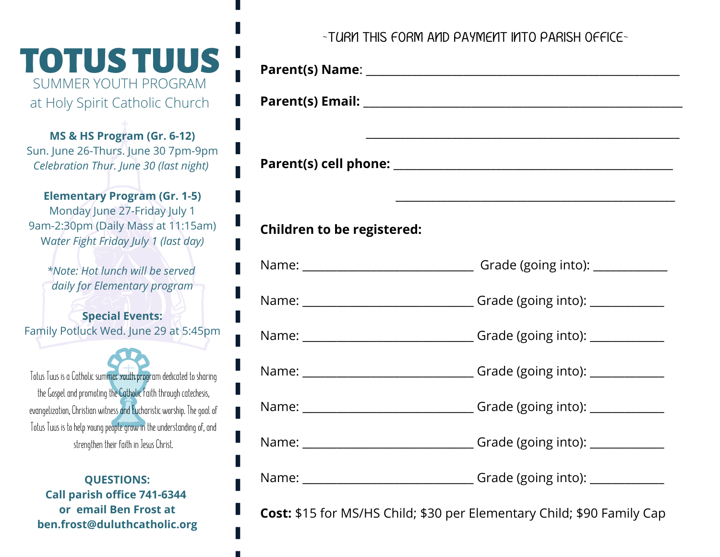TOTUS TUUS SUMMER YOUTH PROGRAM at Holy Spirit Catholic Church

**MS & HS Program (Gr. 6-12)** Sun. June 26-Thurs. June 30 7pm-9pm *Celebration Thur. June 30 (last night)*

**Elementary Program (Gr. 1-5)** Monday June 27-Friday July 1 9am-2:30pm (Daily Mass at 11:15am) W*ater Fight Friday July 1 (last day)*

*\*Note: Hot lunch will be served daily for Elementary program*

**Special Events:** Family Potluck Wed. June 29 at 5:45pm

Totus Tuus is a Catholic summer youth program dedicated to sharing the Gospel and promoting the Catholic Faith through catechesis, evangelization, Christian witness and Eucharistic worship. The goal of Totus Tuus is to help young people grow in the understanding of, and strengthen their faith in Jesus Christ.

**QUESTIONS: Call parish office 741-6344 or email Ben Frost at ben.frost@duluthcatholic.org** ~TURN THIS FORM AND PAYMENT INTO PARISH OFFICE~

| ,我们也不能在这里的时候,我们也不能在这里的时候,我们也不能会在这里的时候,我们也不能会在这里的时候,我们也不能会在这里的时候,我们也不能会在这里的时候,我们也<br><u> 1989 - Johann Harry Harry Harry Harry Harry Harry Harry Harry Harry Harry Harry Harry Harry Harry Harry Harry</u> |  |
|-----------------------------------------------------------------------------------------------------------------------------------------------------------------------------------------------------------|--|
| <b>Children to be registered:</b>                                                                                                                                                                         |  |
|                                                                                                                                                                                                           |  |
|                                                                                                                                                                                                           |  |
|                                                                                                                                                                                                           |  |
|                                                                                                                                                                                                           |  |
|                                                                                                                                                                                                           |  |
|                                                                                                                                                                                                           |  |
|                                                                                                                                                                                                           |  |